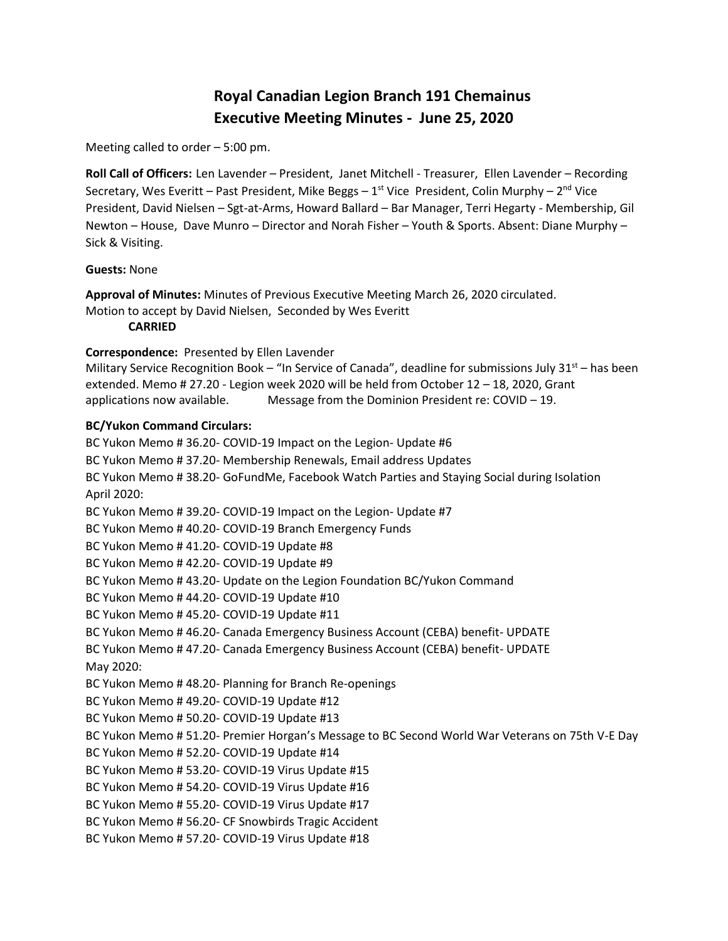# **Royal Canadian Legion Branch 191 Chemainus Executive Meeting Minutes - June 25, 2020**

Meeting called to order – 5:00 pm.

**Roll Call of Officers:** Len Lavender – President, Janet Mitchell - Treasurer, Ellen Lavender – Recording Secretary, Wes Everitt – Past President, Mike Beggs – 1<sup>st</sup> Vice President, Colin Murphy – 2<sup>nd</sup> Vice President, David Nielsen – Sgt-at-Arms, Howard Ballard – Bar Manager, Terri Hegarty - Membership, Gil Newton – House, Dave Munro – Director and Norah Fisher – Youth & Sports. Absent: Diane Murphy – Sick & Visiting.

### **Guests:** None

**Approval of Minutes:** Minutes of Previous Executive Meeting March 26, 2020 circulated. Motion to accept by David Nielsen, Seconded by Wes Everitt

**CARRIED**

### **Correspondence:** Presented by Ellen Lavender

Military Service Recognition Book – "In Service of Canada", deadline for submissions July  $31<sup>st</sup>$  – has been extended. Memo # 27.20 - Legion week 2020 will be held from October 12 – 18, 2020, Grant applications now available. Message from the Dominion President re: COVID – 19.

# **BC/Yukon Command Circulars:**

BC Yukon Memo # 36.20- COVID-19 Impact on the Legion- Update #6 BC Yukon Memo # 37.20- Membership Renewals, Email address Updates BC Yukon Memo # 38.20- GoFundMe, Facebook Watch Parties and Staying Social during Isolation April 2020: BC Yukon Memo # 39.20- COVID-19 Impact on the Legion- Update #7 BC Yukon Memo # 40.20- COVID-19 Branch Emergency Funds BC Yukon Memo # 41.20- COVID-19 Update #8 BC Yukon Memo # 42.20- COVID-19 Update #9 BC Yukon Memo # 43.20- Update on the Legion Foundation BC/Yukon Command BC Yukon Memo # 44.20- COVID-19 Update #10 BC Yukon Memo # 45.20- COVID-19 Update #11 BC Yukon Memo # 46.20- Canada Emergency Business Account (CEBA) benefit- UPDATE BC Yukon Memo # 47.20- Canada Emergency Business Account (CEBA) benefit- UPDATE May 2020: BC Yukon Memo # 48.20- Planning for Branch Re-openings BC Yukon Memo # 49.20- COVID-19 Update #12 BC Yukon Memo # 50.20- COVID-19 Update #13 BC Yukon Memo # 51.20- Premier Horgan's Message to BC Second World War Veterans on 75th V-E Day BC Yukon Memo # 52.20- COVID-19 Update #14 BC Yukon Memo # 53.20- COVID-19 Virus Update #15 BC Yukon Memo # 54.20- COVID-19 Virus Update #16 BC Yukon Memo # 55.20- COVID-19 Virus Update #17 BC Yukon Memo # 56.20- CF Snowbirds Tragic Accident BC Yukon Memo # 57.20- COVID-19 Virus Update #18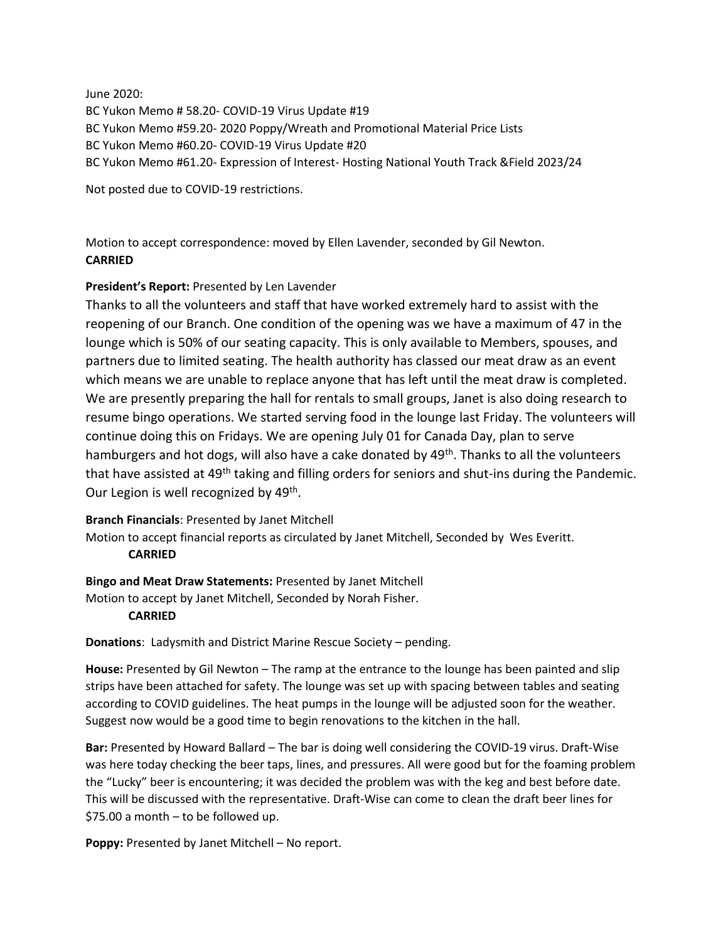June 2020:

BC Yukon Memo # 58.20- COVID-19 Virus Update #19 BC Yukon Memo #59.20- 2020 Poppy/Wreath and Promotional Material Price Lists BC Yukon Memo #60.20- COVID-19 Virus Update #20 BC Yukon Memo #61.20- Expression of Interest- Hosting National Youth Track &Field 2023/24

Not posted due to COVID-19 restrictions.

Motion to accept correspondence: moved by Ellen Lavender, seconded by Gil Newton. **CARRIED**

# **President's Report:** Presented by Len Lavender

Thanks to all the volunteers and staff that have worked extremely hard to assist with the reopening of our Branch. One condition of the opening was we have a maximum of 47 in the lounge which is 50% of our seating capacity. This is only available to Members, spouses, and partners due to limited seating. The health authority has classed our meat draw as an event which means we are unable to replace anyone that has left until the meat draw is completed. We are presently preparing the hall for rentals to small groups, Janet is also doing research to resume bingo operations. We started serving food in the lounge last Friday. The volunteers will continue doing this on Fridays. We are opening July 01 for Canada Day, plan to serve hamburgers and hot dogs, will also have a cake donated by 49<sup>th</sup>. Thanks to all the volunteers that have assisted at 49<sup>th</sup> taking and filling orders for seniors and shut-ins during the Pandemic. Our Legion is well recognized by 49<sup>th</sup>.

**Branch Financials**: Presented by Janet Mitchell

Motion to accept financial reports as circulated by Janet Mitchell, Seconded by Wes Everitt. **CARRIED**

**Bingo and Meat Draw Statements:** Presented by Janet Mitchell Motion to accept by Janet Mitchell, Seconded by Norah Fisher.

# **CARRIED**

**Donations**: Ladysmith and District Marine Rescue Society – pending.

**House:** Presented by Gil Newton – The ramp at the entrance to the lounge has been painted and slip strips have been attached for safety. The lounge was set up with spacing between tables and seating according to COVID guidelines. The heat pumps in the lounge will be adjusted soon for the weather. Suggest now would be a good time to begin renovations to the kitchen in the hall.

**Bar:** Presented by Howard Ballard – The bar is doing well considering the COVID-19 virus. Draft-Wise was here today checking the beer taps, lines, and pressures. All were good but for the foaming problem the "Lucky" beer is encountering; it was decided the problem was with the keg and best before date. This will be discussed with the representative. Draft-Wise can come to clean the draft beer lines for \$75.00 a month – to be followed up.

**Poppy:** Presented by Janet Mitchell – No report.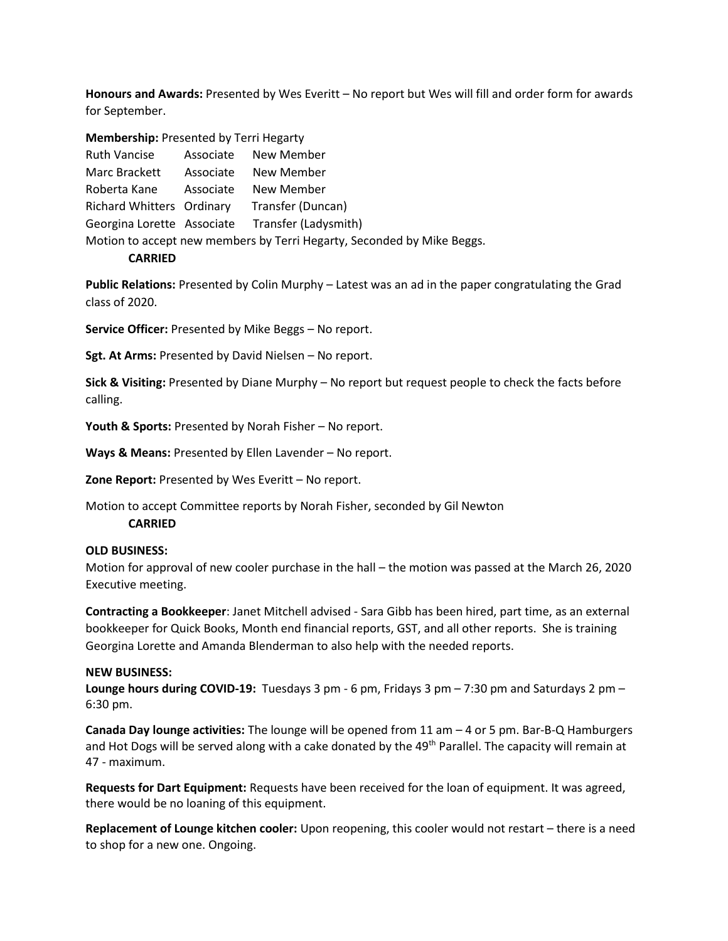**Honours and Awards:** Presented by Wes Everitt – No report but Wes will fill and order form for awards for September.

**Membership:** Presented by Terri Hegarty

| <b>Ruth Vancise</b>                                                    |  | Associate New Member                            |
|------------------------------------------------------------------------|--|-------------------------------------------------|
| Marc Brackett                                                          |  | Associate New Member                            |
| Roberta Kane Associate New Member                                      |  |                                                 |
|                                                                        |  | Richard Whitters Ordinary Transfer (Duncan)     |
|                                                                        |  | Georgina Lorette Associate Transfer (Ladysmith) |
| Motion to accept new members by Terri Hegarty, Seconded by Mike Beggs. |  |                                                 |

#### **CARRIED**

**Public Relations:** Presented by Colin Murphy – Latest was an ad in the paper congratulating the Grad class of 2020.

**Service Officer:** Presented by Mike Beggs – No report.

**Sgt. At Arms:** Presented by David Nielsen – No report.

**Sick & Visiting:** Presented by Diane Murphy – No report but request people to check the facts before calling.

**Youth & Sports:** Presented by Norah Fisher – No report.

**Ways & Means:** Presented by Ellen Lavender – No report.

**Zone Report:** Presented by Wes Everitt – No report.

Motion to accept Committee reports by Norah Fisher, seconded by Gil Newton **CARRIED**

### **OLD BUSINESS:**

Motion for approval of new cooler purchase in the hall – the motion was passed at the March 26, 2020 Executive meeting.

**Contracting a Bookkeeper**: Janet Mitchell advised - Sara Gibb has been hired, part time, as an external bookkeeper for Quick Books, Month end financial reports, GST, and all other reports. She is training Georgina Lorette and Amanda Blenderman to also help with the needed reports.

#### **NEW BUSINESS:**

**Lounge hours during COVID-19:** Tuesdays 3 pm - 6 pm, Fridays 3 pm – 7:30 pm and Saturdays 2 pm – 6:30 pm.

**Canada Day lounge activities:** The lounge will be opened from 11 am – 4 or 5 pm. Bar-B-Q Hamburgers and Hot Dogs will be served along with a cake donated by the 49<sup>th</sup> Parallel. The capacity will remain at 47 - maximum.

**Requests for Dart Equipment:** Requests have been received for the loan of equipment. It was agreed, there would be no loaning of this equipment.

**Replacement of Lounge kitchen cooler:** Upon reopening, this cooler would not restart – there is a need to shop for a new one. Ongoing.